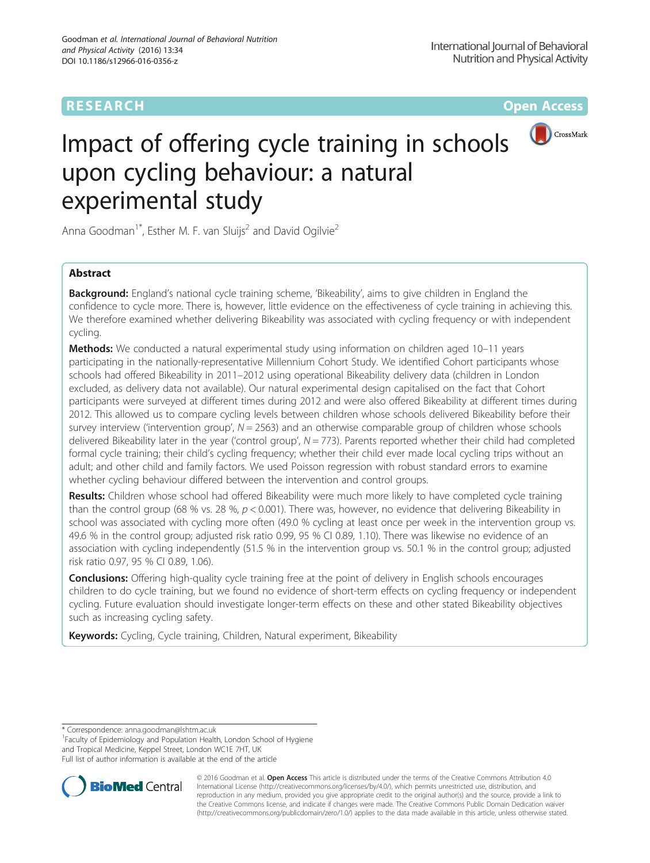## **RESEARCH CHE Open Access**



# Impact of offering cycle training in schools upon cycling behaviour: a natural experimental study

Anna Goodman<sup>1\*</sup>, Esther M. F. van Sluijs<sup>2</sup> and David Ogilvie<sup>2</sup>

## Abstract

**Background:** England's national cycle training scheme, 'Bikeability', aims to give children in England the confidence to cycle more. There is, however, little evidence on the effectiveness of cycle training in achieving this. We therefore examined whether delivering Bikeability was associated with cycling frequency or with independent cycling.

Methods: We conducted a natural experimental study using information on children aged 10-11 years participating in the nationally-representative Millennium Cohort Study. We identified Cohort participants whose schools had offered Bikeability in 2011–2012 using operational Bikeability delivery data (children in London excluded, as delivery data not available). Our natural experimental design capitalised on the fact that Cohort participants were surveyed at different times during 2012 and were also offered Bikeability at different times during 2012. This allowed us to compare cycling levels between children whose schools delivered Bikeability before their survey interview ('intervention group',  $N = 2563$ ) and an otherwise comparable group of children whose schools delivered Bikeability later in the year ('control group',  $N = 773$ ). Parents reported whether their child had completed formal cycle training; their child's cycling frequency; whether their child ever made local cycling trips without an adult; and other child and family factors. We used Poisson regression with robust standard errors to examine whether cycling behaviour differed between the intervention and control groups.

Results: Children whose school had offered Bikeability were much more likely to have completed cycle training than the control group (68 % vs. 28 %,  $p < 0.001$ ). There was, however, no evidence that delivering Bikeability in school was associated with cycling more often (49.0 % cycling at least once per week in the intervention group vs. 49.6 % in the control group; adjusted risk ratio 0.99, 95 % CI 0.89, 1.10). There was likewise no evidence of an association with cycling independently (51.5 % in the intervention group vs. 50.1 % in the control group; adjusted risk ratio 0.97, 95 % CI 0.89, 1.06).

**Conclusions:** Offering high-quality cycle training free at the point of delivery in English schools encourages children to do cycle training, but we found no evidence of short-term effects on cycling frequency or independent cycling. Future evaluation should investigate longer-term effects on these and other stated Bikeability objectives such as increasing cycling safety.

Keywords: Cycling, Cycle training, Children, Natural experiment, Bikeability

\* Correspondence: [anna.goodman@lshtm.ac.uk](mailto:anna.goodman@lshtm.ac.uk) <sup>1</sup>

<sup>1</sup> Faculty of Epidemiology and Population Health, London School of Hygiene and Tropical Medicine, Keppel Street, London WC1E 7HT, UK Full list of author information is available at the end of the article



© 2016 Goodman et al. Open Access This article is distributed under the terms of the Creative Commons Attribution 4.0 International License [\(http://creativecommons.org/licenses/by/4.0/](http://creativecommons.org/licenses/by/4.0/)), which permits unrestricted use, distribution, and reproduction in any medium, provided you give appropriate credit to the original author(s) and the source, provide a link to the Creative Commons license, and indicate if changes were made. The Creative Commons Public Domain Dedication waiver [\(http://creativecommons.org/publicdomain/zero/1.0/](http://creativecommons.org/publicdomain/zero/1.0/)) applies to the data made available in this article, unless otherwise stated.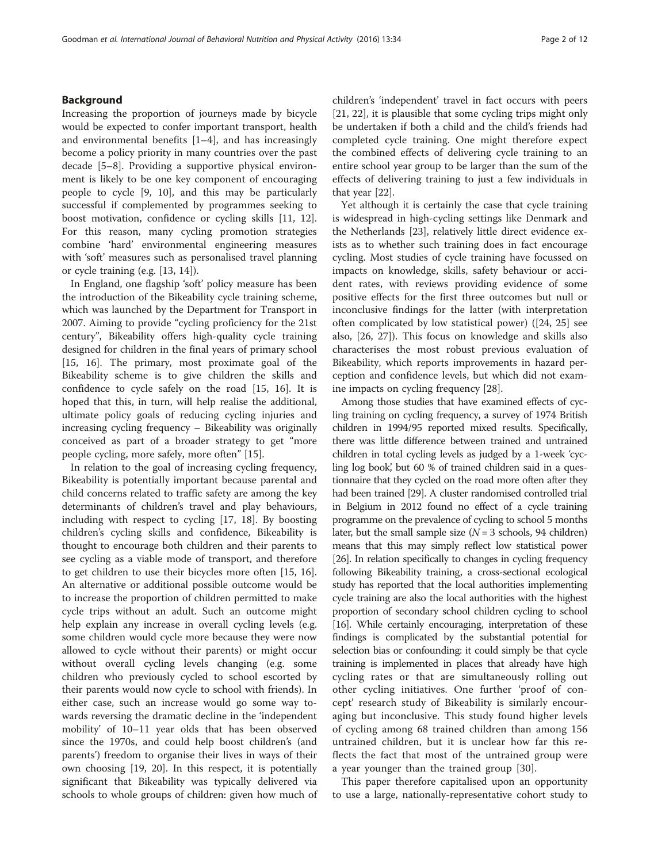## Background

Increasing the proportion of journeys made by bicycle would be expected to confer important transport, health and environmental benefits  $[1-4]$  $[1-4]$  $[1-4]$ , and has increasingly become a policy priority in many countries over the past decade [[5](#page-11-0)–[8](#page-11-0)]. Providing a supportive physical environment is likely to be one key component of encouraging people to cycle [\[9, 10](#page-11-0)], and this may be particularly successful if complemented by programmes seeking to boost motivation, confidence or cycling skills [[11](#page-11-0), [12](#page-11-0)]. For this reason, many cycling promotion strategies combine 'hard' environmental engineering measures with 'soft' measures such as personalised travel planning or cycle training (e.g. [\[13, 14\]](#page-11-0)).

In England, one flagship 'soft' policy measure has been the introduction of the Bikeability cycle training scheme, which was launched by the Department for Transport in 2007. Aiming to provide "cycling proficiency for the 21st century", Bikeability offers high-quality cycle training designed for children in the final years of primary school [[15, 16](#page-11-0)]. The primary, most proximate goal of the Bikeability scheme is to give children the skills and confidence to cycle safely on the road [\[15](#page-11-0), [16\]](#page-11-0). It is hoped that this, in turn, will help realise the additional, ultimate policy goals of reducing cycling injuries and increasing cycling frequency – Bikeability was originally conceived as part of a broader strategy to get "more people cycling, more safely, more often" [\[15\]](#page-11-0).

In relation to the goal of increasing cycling frequency, Bikeability is potentially important because parental and child concerns related to traffic safety are among the key determinants of children's travel and play behaviours, including with respect to cycling [[17](#page-11-0), [18\]](#page-11-0). By boosting children's cycling skills and confidence, Bikeability is thought to encourage both children and their parents to see cycling as a viable mode of transport, and therefore to get children to use their bicycles more often [[15, 16](#page-11-0)]. An alternative or additional possible outcome would be to increase the proportion of children permitted to make cycle trips without an adult. Such an outcome might help explain any increase in overall cycling levels (e.g. some children would cycle more because they were now allowed to cycle without their parents) or might occur without overall cycling levels changing (e.g. some children who previously cycled to school escorted by their parents would now cycle to school with friends). In either case, such an increase would go some way towards reversing the dramatic decline in the 'independent mobility' of 10–11 year olds that has been observed since the 1970s, and could help boost children's (and parents') freedom to organise their lives in ways of their own choosing [[19](#page-11-0), [20\]](#page-11-0). In this respect, it is potentially significant that Bikeability was typically delivered via schools to whole groups of children: given how much of children's 'independent' travel in fact occurs with peers [[21, 22\]](#page-11-0), it is plausible that some cycling trips might only be undertaken if both a child and the child's friends had completed cycle training. One might therefore expect the combined effects of delivering cycle training to an entire school year group to be larger than the sum of the effects of delivering training to just a few individuals in that year [[22\]](#page-11-0).

Yet although it is certainly the case that cycle training is widespread in high-cycling settings like Denmark and the Netherlands [\[23\]](#page-11-0), relatively little direct evidence exists as to whether such training does in fact encourage cycling. Most studies of cycle training have focussed on impacts on knowledge, skills, safety behaviour or accident rates, with reviews providing evidence of some positive effects for the first three outcomes but null or inconclusive findings for the latter (with interpretation often complicated by low statistical power) ([[24, 25](#page-11-0)] see also, [\[26, 27](#page-11-0)]). This focus on knowledge and skills also characterises the most robust previous evaluation of Bikeability, which reports improvements in hazard perception and confidence levels, but which did not examine impacts on cycling frequency [[28\]](#page-11-0).

Among those studies that have examined effects of cycling training on cycling frequency, a survey of 1974 British children in 1994/95 reported mixed results. Specifically, there was little difference between trained and untrained children in total cycling levels as judged by a 1-week 'cycling log book, but 60 % of trained children said in a questionnaire that they cycled on the road more often after they had been trained [\[29\]](#page-11-0). A cluster randomised controlled trial in Belgium in 2012 found no effect of a cycle training programme on the prevalence of cycling to school 5 months later, but the small sample size  $(N = 3$  schools, 94 children) means that this may simply reflect low statistical power [[26](#page-11-0)]. In relation specifically to changes in cycling frequency following Bikeability training, a cross-sectional ecological study has reported that the local authorities implementing cycle training are also the local authorities with the highest proportion of secondary school children cycling to school [[16](#page-11-0)]. While certainly encouraging, interpretation of these findings is complicated by the substantial potential for selection bias or confounding: it could simply be that cycle training is implemented in places that already have high cycling rates or that are simultaneously rolling out other cycling initiatives. One further 'proof of concept' research study of Bikeability is similarly encouraging but inconclusive. This study found higher levels of cycling among 68 trained children than among 156 untrained children, but it is unclear how far this reflects the fact that most of the untrained group were a year younger than the trained group [[30\]](#page-11-0).

This paper therefore capitalised upon an opportunity to use a large, nationally-representative cohort study to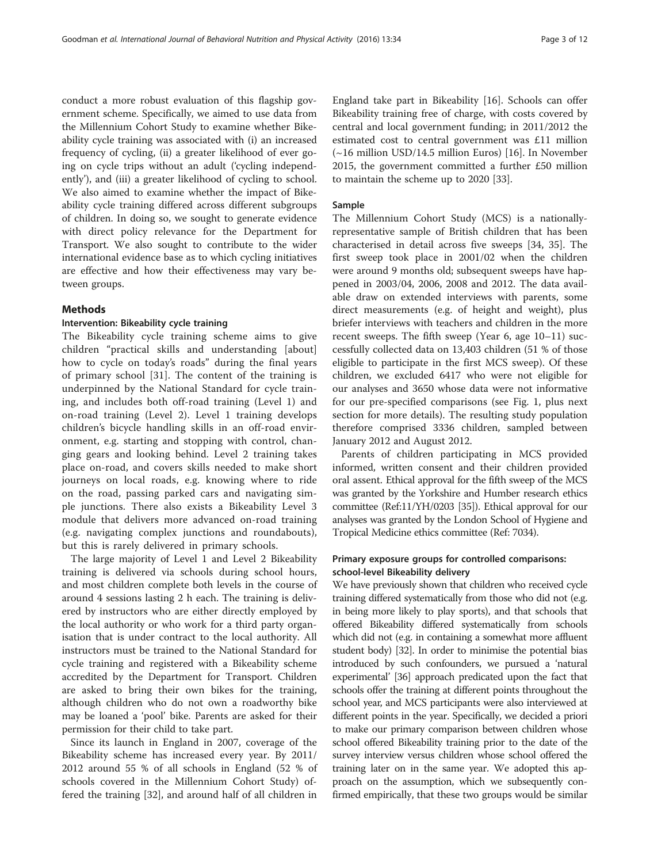conduct a more robust evaluation of this flagship government scheme. Specifically, we aimed to use data from the Millennium Cohort Study to examine whether Bikeability cycle training was associated with (i) an increased frequency of cycling, (ii) a greater likelihood of ever going on cycle trips without an adult ('cycling independently'), and (iii) a greater likelihood of cycling to school. We also aimed to examine whether the impact of Bikeability cycle training differed across different subgroups of children. In doing so, we sought to generate evidence with direct policy relevance for the Department for Transport. We also sought to contribute to the wider international evidence base as to which cycling initiatives are effective and how their effectiveness may vary between groups.

## Methods

## Intervention: Bikeability cycle training

The Bikeability cycle training scheme aims to give children "practical skills and understanding [about] how to cycle on today's roads" during the final years of primary school [[31\]](#page-11-0). The content of the training is underpinned by the National Standard for cycle training, and includes both off-road training (Level 1) and on-road training (Level 2). Level 1 training develops children's bicycle handling skills in an off-road environment, e.g. starting and stopping with control, changing gears and looking behind. Level 2 training takes place on-road, and covers skills needed to make short journeys on local roads, e.g. knowing where to ride on the road, passing parked cars and navigating simple junctions. There also exists a Bikeability Level 3 module that delivers more advanced on-road training (e.g. navigating complex junctions and roundabouts), but this is rarely delivered in primary schools.

The large majority of Level 1 and Level 2 Bikeability training is delivered via schools during school hours, and most children complete both levels in the course of around 4 sessions lasting 2 h each. The training is delivered by instructors who are either directly employed by the local authority or who work for a third party organisation that is under contract to the local authority. All instructors must be trained to the National Standard for cycle training and registered with a Bikeability scheme accredited by the Department for Transport. Children are asked to bring their own bikes for the training, although children who do not own a roadworthy bike may be loaned a 'pool' bike. Parents are asked for their permission for their child to take part.

Since its launch in England in 2007, coverage of the Bikeability scheme has increased every year. By 2011/ 2012 around 55 % of all schools in England (52 % of schools covered in the Millennium Cohort Study) offered the training [[32\]](#page-11-0), and around half of all children in England take part in Bikeability [\[16\]](#page-11-0). Schools can offer Bikeability training free of charge, with costs covered by central and local government funding; in 2011/2012 the estimated cost to central government was £11 million (~16 million USD/14.5 million Euros) [[16\]](#page-11-0). In November 2015, the government committed a further £50 million to maintain the scheme up to 2020 [[33](#page-11-0)].

#### Sample

The Millennium Cohort Study (MCS) is a nationallyrepresentative sample of British children that has been characterised in detail across five sweeps [\[34](#page-11-0), [35\]](#page-11-0). The first sweep took place in 2001/02 when the children were around 9 months old; subsequent sweeps have happened in 2003/04, 2006, 2008 and 2012. The data available draw on extended interviews with parents, some direct measurements (e.g. of height and weight), plus briefer interviews with teachers and children in the more recent sweeps. The fifth sweep (Year 6, age 10–11) successfully collected data on 13,403 children (51 % of those eligible to participate in the first MCS sweep). Of these children, we excluded 6417 who were not eligible for our analyses and 3650 whose data were not informative for our pre-specified comparisons (see Fig. [1,](#page-3-0) plus next section for more details). The resulting study population therefore comprised 3336 children, sampled between January 2012 and August 2012.

Parents of children participating in MCS provided informed, written consent and their children provided oral assent. Ethical approval for the fifth sweep of the MCS was granted by the Yorkshire and Humber research ethics committee (Ref:11/YH/0203 [[35](#page-11-0)]). Ethical approval for our analyses was granted by the London School of Hygiene and Tropical Medicine ethics committee (Ref: 7034).

## Primary exposure groups for controlled comparisons: school-level Bikeability delivery

We have previously shown that children who received cycle training differed systematically from those who did not (e.g. in being more likely to play sports), and that schools that offered Bikeability differed systematically from schools which did not (e.g. in containing a somewhat more affluent student body) [\[32\]](#page-11-0). In order to minimise the potential bias introduced by such confounders, we pursued a 'natural experimental' [\[36\]](#page-11-0) approach predicated upon the fact that schools offer the training at different points throughout the school year, and MCS participants were also interviewed at different points in the year. Specifically, we decided a priori to make our primary comparison between children whose school offered Bikeability training prior to the date of the survey interview versus children whose school offered the training later on in the same year. We adopted this approach on the assumption, which we subsequently confirmed empirically, that these two groups would be similar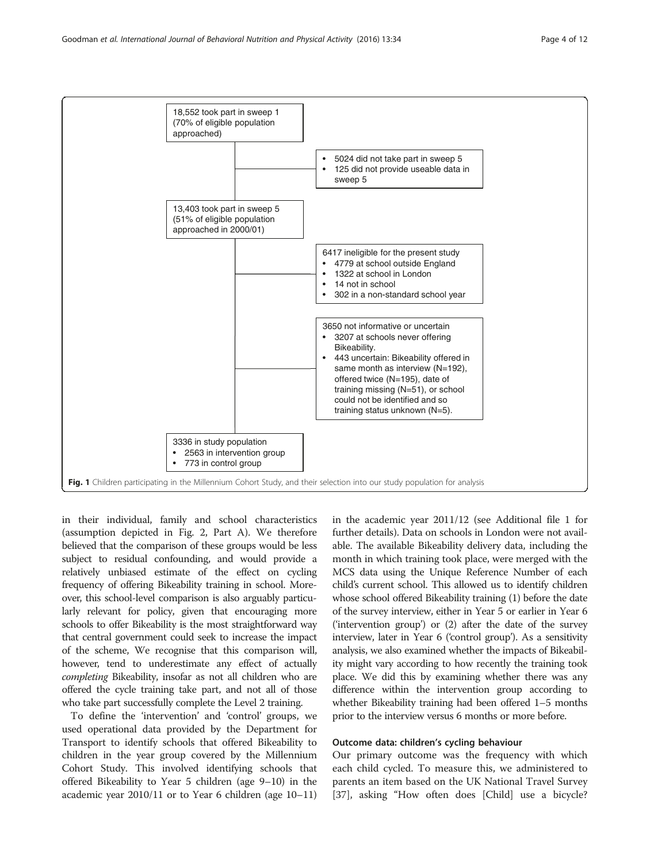<span id="page-3-0"></span>

in their individual, family and school characteristics (assumption depicted in Fig. [2](#page-4-0), Part A). We therefore believed that the comparison of these groups would be less subject to residual confounding, and would provide a relatively unbiased estimate of the effect on cycling frequency of offering Bikeability training in school. Moreover, this school-level comparison is also arguably particularly relevant for policy, given that encouraging more schools to offer Bikeability is the most straightforward way that central government could seek to increase the impact of the scheme, We recognise that this comparison will, however, tend to underestimate any effect of actually completing Bikeability, insofar as not all children who are offered the cycle training take part, and not all of those who take part successfully complete the Level 2 training.

To define the 'intervention' and 'control' groups, we used operational data provided by the Department for Transport to identify schools that offered Bikeability to children in the year group covered by the Millennium Cohort Study. This involved identifying schools that offered Bikeability to Year 5 children (age 9–10) in the academic year 2010/11 or to Year 6 children (age 10–11) in the academic year 2011/12 (see Additional file [1](#page-10-0) for further details). Data on schools in London were not available. The available Bikeability delivery data, including the month in which training took place, were merged with the MCS data using the Unique Reference Number of each child's current school. This allowed us to identify children whose school offered Bikeability training (1) before the date of the survey interview, either in Year 5 or earlier in Year 6 ('intervention group') or (2) after the date of the survey interview, later in Year 6 ('control group'). As a sensitivity analysis, we also examined whether the impacts of Bikeability might vary according to how recently the training took place. We did this by examining whether there was any difference within the intervention group according to whether Bikeability training had been offered 1–5 months prior to the interview versus 6 months or more before.

## Outcome data: children's cycling behaviour

Our primary outcome was the frequency with which each child cycled. To measure this, we administered to parents an item based on the UK National Travel Survey [[37\]](#page-11-0), asking "How often does [Child] use a bicycle?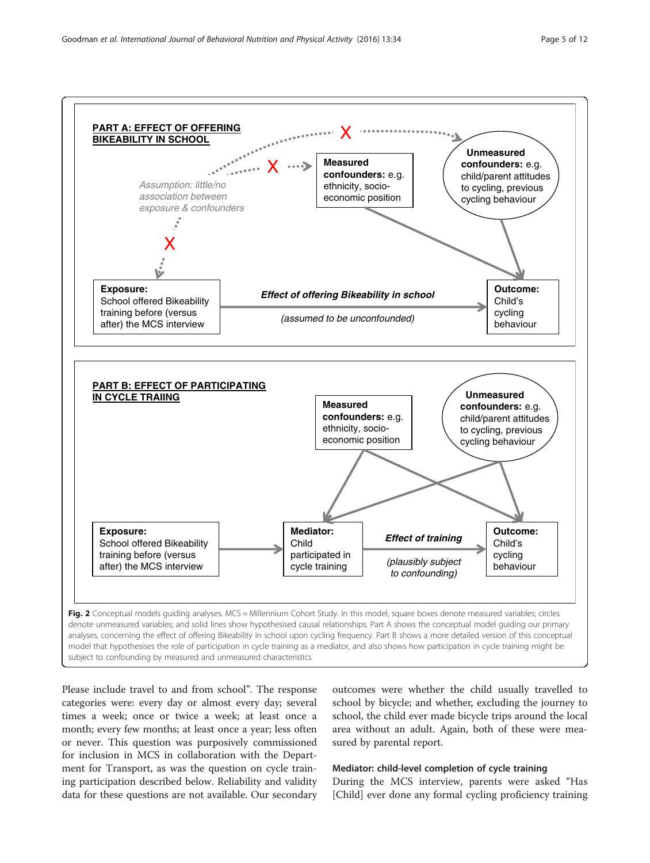<span id="page-4-0"></span>

Please include travel to and from school". The response categories were: every day or almost every day; several times a week; once or twice a week; at least once a month; every few months; at least once a year; less often or never. This question was purposively commissioned for inclusion in MCS in collaboration with the Department for Transport, as was the question on cycle training participation described below. Reliability and validity data for these questions are not available. Our secondary

outcomes were whether the child usually travelled to school by bicycle; and whether, excluding the journey to school, the child ever made bicycle trips around the local area without an adult. Again, both of these were measured by parental report.

## Mediator: child-level completion of cycle training

During the MCS interview, parents were asked "Has [Child] ever done any formal cycling proficiency training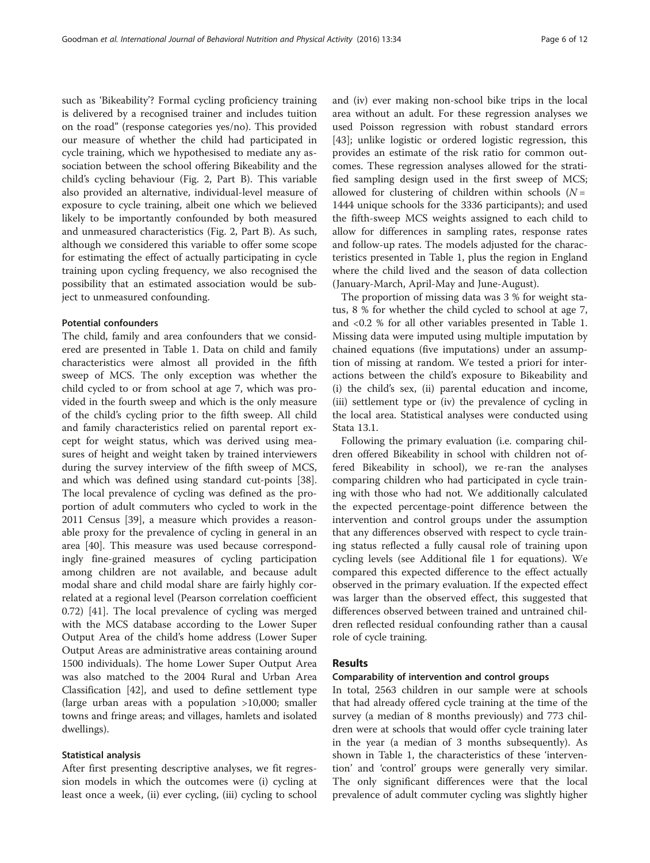such as 'Bikeability'? Formal cycling proficiency training is delivered by a recognised trainer and includes tuition on the road" (response categories yes/no). This provided our measure of whether the child had participated in cycle training, which we hypothesised to mediate any association between the school offering Bikeability and the child's cycling behaviour (Fig. [2,](#page-4-0) Part B). This variable also provided an alternative, individual-level measure of exposure to cycle training, albeit one which we believed likely to be importantly confounded by both measured and unmeasured characteristics (Fig. [2,](#page-4-0) Part B). As such, although we considered this variable to offer some scope for estimating the effect of actually participating in cycle training upon cycling frequency, we also recognised the possibility that an estimated association would be subject to unmeasured confounding.

## Potential confounders

The child, family and area confounders that we considered are presented in Table [1](#page-6-0). Data on child and family characteristics were almost all provided in the fifth sweep of MCS. The only exception was whether the child cycled to or from school at age 7, which was provided in the fourth sweep and which is the only measure of the child's cycling prior to the fifth sweep. All child and family characteristics relied on parental report except for weight status, which was derived using measures of height and weight taken by trained interviewers during the survey interview of the fifth sweep of MCS, and which was defined using standard cut-points [\[38](#page-11-0)]. The local prevalence of cycling was defined as the proportion of adult commuters who cycled to work in the 2011 Census [\[39](#page-11-0)], a measure which provides a reasonable proxy for the prevalence of cycling in general in an area [\[40\]](#page-11-0). This measure was used because correspondingly fine-grained measures of cycling participation among children are not available, and because adult modal share and child modal share are fairly highly correlated at a regional level (Pearson correlation coefficient 0.72) [\[41](#page-11-0)]. The local prevalence of cycling was merged with the MCS database according to the Lower Super Output Area of the child's home address (Lower Super Output Areas are administrative areas containing around 1500 individuals). The home Lower Super Output Area was also matched to the 2004 Rural and Urban Area Classification [\[42\]](#page-11-0), and used to define settlement type (large urban areas with a population >10,000; smaller towns and fringe areas; and villages, hamlets and isolated dwellings).

#### Statistical analysis

After first presenting descriptive analyses, we fit regression models in which the outcomes were (i) cycling at least once a week, (ii) ever cycling, (iii) cycling to school and (iv) ever making non-school bike trips in the local area without an adult. For these regression analyses we used Poisson regression with robust standard errors [[43\]](#page-11-0); unlike logistic or ordered logistic regression, this provides an estimate of the risk ratio for common outcomes. These regression analyses allowed for the stratified sampling design used in the first sweep of MCS; allowed for clustering of children within schools  $(N =$ 1444 unique schools for the 3336 participants); and used the fifth-sweep MCS weights assigned to each child to allow for differences in sampling rates, response rates and follow-up rates. The models adjusted for the characteristics presented in Table [1,](#page-6-0) plus the region in England where the child lived and the season of data collection (January-March, April-May and June-August).

The proportion of missing data was 3 % for weight status, 8 % for whether the child cycled to school at age 7, and <0.2 % for all other variables presented in Table [1](#page-6-0). Missing data were imputed using multiple imputation by chained equations (five imputations) under an assumption of missing at random. We tested a priori for interactions between the child's exposure to Bikeability and (i) the child's sex, (ii) parental education and income, (iii) settlement type or (iv) the prevalence of cycling in the local area. Statistical analyses were conducted using Stata 13.1.

Following the primary evaluation (i.e. comparing children offered Bikeability in school with children not offered Bikeability in school), we re-ran the analyses comparing children who had participated in cycle training with those who had not. We additionally calculated the expected percentage-point difference between the intervention and control groups under the assumption that any differences observed with respect to cycle training status reflected a fully causal role of training upon cycling levels (see Additional file [1](#page-10-0) for equations). We compared this expected difference to the effect actually observed in the primary evaluation. If the expected effect was larger than the observed effect, this suggested that differences observed between trained and untrained children reflected residual confounding rather than a causal role of cycle training.

#### Results

#### Comparability of intervention and control groups

In total, 2563 children in our sample were at schools that had already offered cycle training at the time of the survey (a median of 8 months previously) and 773 children were at schools that would offer cycle training later in the year (a median of 3 months subsequently). As shown in Table [1,](#page-6-0) the characteristics of these 'intervention' and 'control' groups were generally very similar. The only significant differences were that the local prevalence of adult commuter cycling was slightly higher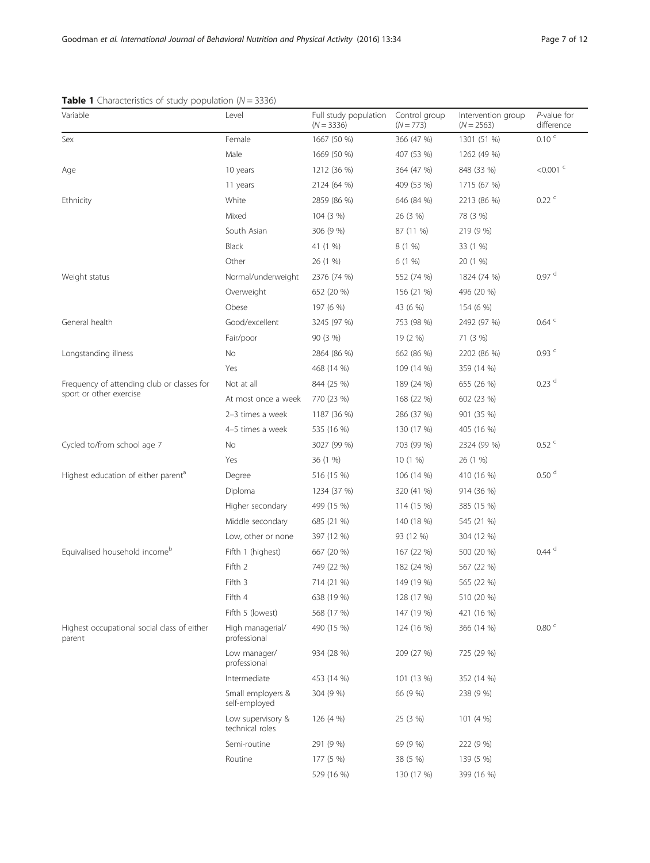## <span id="page-6-0"></span>**Table 1** Characteristics of study population  $(N = 3336)$

| Variable                                              | Level                                | Full study population<br>$(N = 3336)$ | Control group<br>$(N = 773)$ | Intervention group<br>$(N = 2563)$ | $P$ -value for<br>difference |
|-------------------------------------------------------|--------------------------------------|---------------------------------------|------------------------------|------------------------------------|------------------------------|
| Sex                                                   | Female                               | 1667 (50 %)                           | 366 (47 %)                   | 1301 (51 %)                        | $0.10 \degree$               |
|                                                       | Male                                 | 1669 (50 %)                           | 407 (53 %)                   | 1262 (49 %)                        |                              |
| Age                                                   | 10 years                             | 1212 (36 %)                           | 364 (47 %)                   | 848 (33 %)                         | $< 0.001$ <sup>c</sup>       |
|                                                       | 11 years                             | 2124 (64 %)                           | 409 (53 %)                   | 1715 (67 %)                        |                              |
| Ethnicity                                             | White                                | 2859 (86 %)                           | 646 (84 %)                   | 2213 (86 %)                        | 0.22                         |
|                                                       | Mixed                                | 104 (3 %)                             | 26 (3 %)                     | 78 (3 %)                           |                              |
|                                                       | South Asian                          | 306 (9 %)                             | 87 (11 %)                    | 219 (9 %)                          |                              |
|                                                       | Black                                | 41 (1 %)                              | 8(1%)                        | 33 (1 %)                           |                              |
|                                                       | Other                                | 26 (1 %)                              | 6(1%)                        | 20 (1 %)                           |                              |
| Weight status                                         | Normal/underweight                   | 2376 (74 %)                           | 552 (74 %)                   | 1824 (74 %)                        | $0.97$ <sup>d</sup>          |
|                                                       | Overweight                           | 652 (20 %)                            | 156 (21 %)                   | 496 (20 %)                         |                              |
|                                                       | Obese                                | 197 (6 %)                             | 43 (6 %)                     | 154 (6 %)                          |                              |
| General health                                        | Good/excellent                       | 3245 (97 %)                           | 753 (98 %)                   | 2492 (97 %)                        | $0.64$ <sup>c</sup>          |
|                                                       | Fair/poor                            | 90 (3 %)                              | 19 (2 %)                     | 71 (3 %)                           |                              |
| Longstanding illness                                  | No.                                  | 2864 (86 %)                           | 662 (86 %)                   | 2202 (86 %)                        | $0.93$ <sup>c</sup>          |
|                                                       | Yes                                  | 468 (14 %)                            | 109 (14 %)                   | 359 (14 %)                         |                              |
| Frequency of attending club or classes for            | Not at all                           | 844 (25 %)                            | 189 (24 %)                   | 655 (26 %)                         | $0.23$ <sup>d</sup>          |
| sport or other exercise                               | At most once a week                  | 770 (23 %)                            | 168 (22 %)                   | 602 (23 %)                         |                              |
|                                                       | 2-3 times a week                     | 1187 (36 %)                           | 286 (37 %)                   | 901 (35 %)                         |                              |
|                                                       | 4-5 times a week                     | 535 (16 %)                            | 130 (17 %)                   | 405 (16 %)                         |                              |
| Cycled to/from school age 7                           | No                                   | 3027 (99 %)                           | 703 (99 %)                   | 2324 (99 %)                        | $0.52~^\circ$                |
|                                                       | Yes                                  | 36 (1 %)                              | 10 (1 %)                     | 26 (1 %)                           |                              |
| Highest education of either parent <sup>a</sup>       | Degree                               | 516 (15 %)                            | 106 (14 %)                   | 410 (16 %)                         | 0.50 <sup>d</sup>            |
|                                                       | Diploma                              | 1234 (37 %)                           | 320 (41 %)                   | 914 (36 %)                         |                              |
|                                                       | Higher secondary                     | 499 (15 %)                            | 114 (15 %)                   | 385 (15 %)                         |                              |
|                                                       | Middle secondary                     | 685 (21 %)                            | 140 (18 %)                   | 545 (21 %)                         |                              |
|                                                       | Low, other or none                   | 397 (12 %)                            | 93 (12 %)                    | 304 (12 %)                         |                              |
| Equivalised household income <sup>b</sup>             | Fifth 1 (highest)                    | 667 (20 %)                            | 167 (22 %)                   | 500 (20 %)                         | $0.44$ <sup>d</sup>          |
|                                                       | Fifth 2                              | 749 (22 %)                            | 182 (24 %)                   | 567 (22 %)                         |                              |
|                                                       | Fifth 3                              | 714 (21 %)                            | 149 (19 %)                   | 565 (22 %)                         |                              |
|                                                       | Fifth 4                              | 638 (19 %)                            | 128 (17 %)                   | 510 (20 %)                         |                              |
|                                                       | Fifth 5 (lowest)                     | 568 (17 %)                            | 147 (19 %)                   | 421 (16 %)                         |                              |
| Highest occupational social class of either<br>parent | High managerial/<br>professional     | 490 (15 %)                            | 124 (16 %)                   | 366 (14 %)                         | 0.80 <sup>c</sup>            |
|                                                       | Low manager/<br>professional         | 934 (28 %)                            | 209 (27 %)                   | 725 (29 %)                         |                              |
|                                                       | Intermediate                         | 453 (14 %)                            | 101 (13 %)                   | 352 (14 %)                         |                              |
|                                                       | Small employers &<br>self-employed   | 304 (9 %)                             | 66 (9 %)                     | 238 (9 %)                          |                              |
|                                                       | Low supervisory &<br>technical roles | 126 (4 %)                             | 25 (3 %)                     | 101 (4 %)                          |                              |
|                                                       | Semi-routine                         | 291 (9 %)                             | 69 (9 %)                     | 222 (9 %)                          |                              |
|                                                       | Routine                              | 177 (5 %)                             | 38 (5 %)                     | 139 (5 %)                          |                              |
|                                                       |                                      | 529 (16 %)                            | 130 (17 %)                   | 399 (16 %)                         |                              |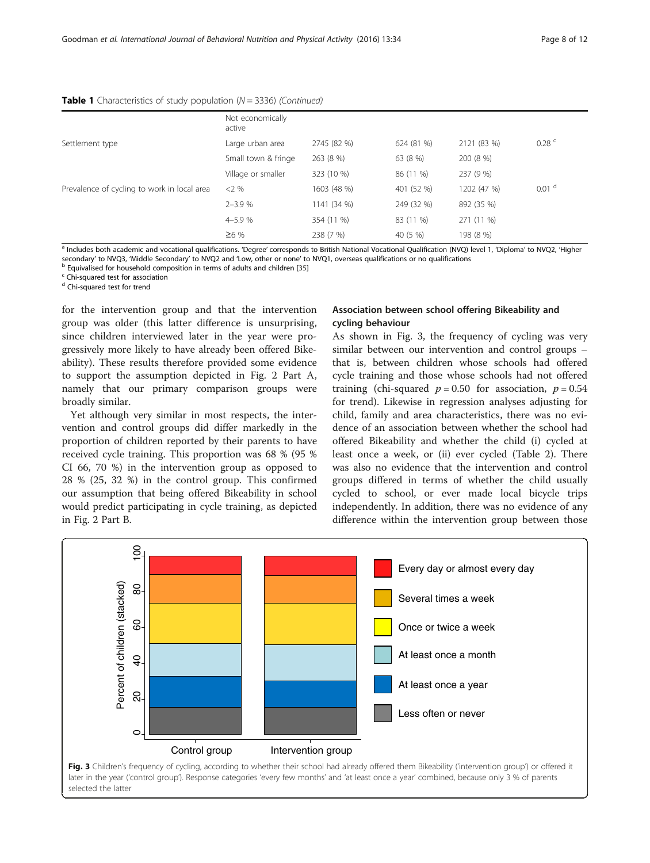|                                             | Not economically<br>active |             |            |             |                     |
|---------------------------------------------|----------------------------|-------------|------------|-------------|---------------------|
| Settlement type                             | Large urban area           | 2745 (82 %) | 624 (81 %) | 2121 (83 %) | $0.28$ <sup>c</sup> |
|                                             | Small town & fringe        | 263 (8 %)   | 63 (8 %)   | 200 (8 %)   |                     |
|                                             | Village or smaller         | 323 (10 %)  | 86 (11 %)  | 237 (9 %)   |                     |
| Prevalence of cycling to work in local area | $<2\%$                     | 1603 (48 %) | 401 (52 %) | 1202 (47 %) | 0.01 <sup>d</sup>   |
|                                             | $2 - 3.9%$                 | 1141 (34 %) | 249 (32 %) | 892 (35 %)  |                     |
|                                             | $4 - 5.9%$                 | 354 (11 %)  | 83 (11 %)  | 271 (11 %)  |                     |
|                                             | $\geq 6 \%$                | 238 (7 %)   | 40 (5 %)   | 198 (8 %)   |                     |

**Table 1** Characteristics of study population  $(N = 3336)$  (Continued)

<sup>a</sup> Includes both academic and vocational qualifications. 'Degree' corresponds to British National Vocational Qualification (NVQ) level 1, 'Diploma' to NVQ2, 'Higher secondary' to NVQ3, 'Middle Secondary' to NVQ2 and 'Low, other or none' to NVQ1, overseas qualifications or no qualifications<br><sup>b</sup> Equivalised for household composition in terms of adults and children [[35](#page-11-0)]<br><sup>c</sup> Chi-squared t

<sup>d</sup> Chi-squared test for trend

for the intervention group and that the intervention group was older (this latter difference is unsurprising, since children interviewed later in the year were progressively more likely to have already been offered Bikeability). These results therefore provided some evidence to support the assumption depicted in Fig. [2](#page-4-0) Part A, namely that our primary comparison groups were broadly similar.

Yet although very similar in most respects, the intervention and control groups did differ markedly in the proportion of children reported by their parents to have received cycle training. This proportion was 68 % (95 % CI 66, 70 %) in the intervention group as opposed to 28 % (25, 32 %) in the control group. This confirmed our assumption that being offered Bikeability in school would predict participating in cycle training, as depicted in Fig. [2](#page-4-0) Part B.

## Association between school offering Bikeability and cycling behaviour

As shown in Fig. 3, the frequency of cycling was very similar between our intervention and control groups – that is, between children whose schools had offered cycle training and those whose schools had not offered training (chi-squared  $p = 0.50$  for association,  $p = 0.54$ for trend). Likewise in regression analyses adjusting for child, family and area characteristics, there was no evidence of an association between whether the school had offered Bikeability and whether the child (i) cycled at least once a week, or (ii) ever cycled (Table [2](#page-8-0)). There was also no evidence that the intervention and control groups differed in terms of whether the child usually cycled to school, or ever made local bicycle trips independently. In addition, there was no evidence of any difference within the intervention group between those

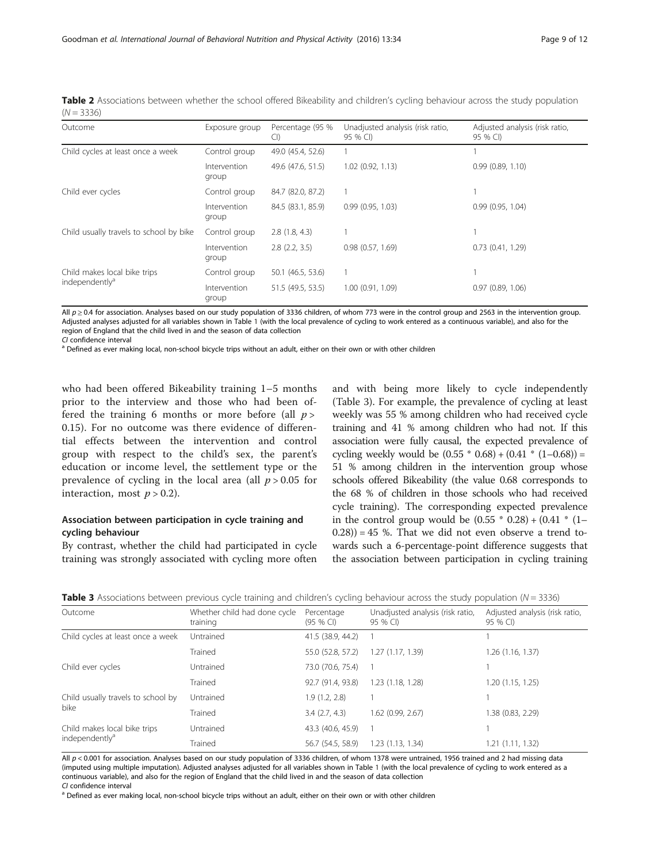<span id="page-8-0"></span>

|              | Table 2 Associations between whether the school offered Bikeability and children's cycling behaviour across the study population |  |  |  |  |  |  |
|--------------|----------------------------------------------------------------------------------------------------------------------------------|--|--|--|--|--|--|
| $(N = 3336)$ |                                                                                                                                  |  |  |  |  |  |  |

| Outcome                                 | Exposure group        | Percentage (95 %<br>Cl | Unadjusted analysis (risk ratio,<br>95 % CI) | Adjusted analysis (risk ratio,<br>95 % CI) |
|-----------------------------------------|-----------------------|------------------------|----------------------------------------------|--------------------------------------------|
| Child cycles at least once a week       | Control group         | 49.0 (45.4, 52.6)      |                                              |                                            |
|                                         | Intervention<br>group | 49.6 (47.6, 51.5)      | 1.02 (0.92, 1.13)                            | 0.99(0.89, 1.10)                           |
| Child ever cycles                       | Control group         | 84.7 (82.0, 87.2)      |                                              |                                            |
|                                         | Intervention<br>group | 84.5 (83.1, 85.9)      | 0.99(0.95, 1.03)                             | 0.99(0.95, 1.04)                           |
| Child usually travels to school by bike | Control group         | 2.8(1.8, 4.3)          |                                              |                                            |
|                                         | Intervention<br>group | 2.8(2.2, 3.5)          | 0.98(0.57, 1.69)                             | 0.73(0.41, 1.29)                           |
| Child makes local bike trips            | Control group         | 50.1 (46.5, 53.6)      |                                              |                                            |
| independently <sup>a</sup>              | Intervention<br>group | 51.5 (49.5, 53.5)      | 1.00 (0.91, 1.09)                            | 0.97(0.89, 1.06)                           |

All  $p ≥ 0.4$  for association. Analyses based on our study population of 3336 children, of whom 773 were in the control group and 2563 in the intervention group. Adjusted analyses adjusted for all variables shown in Table [1](#page-6-0) (with the local prevalence of cycling to work entered as a continuous variable), and also for the region of England that the child lived in and the season of data collection

CI confidence interval<br><sup>a</sup> Defined as ever making local, non-school bicycle trips without an adult, either on their own or with other children

who had been offered Bikeability training 1–5 months prior to the interview and those who had been offered the training 6 months or more before (all  $p >$ 0.15). For no outcome was there evidence of differential effects between the intervention and control group with respect to the child's sex, the parent's education or income level, the settlement type or the prevalence of cycling in the local area (all  $p > 0.05$  for interaction, most  $p > 0.2$ ).

## Association between participation in cycle training and cycling behaviour

By contrast, whether the child had participated in cycle training was strongly associated with cycling more often and with being more likely to cycle independently (Table 3). For example, the prevalence of cycling at least weekly was 55 % among children who had received cycle training and 41 % among children who had not. If this association were fully causal, the expected prevalence of cycling weekly would be  $(0.55 * 0.68) + (0.41 * (1 - 0.68)) =$ 51 % among children in the intervention group whose schools offered Bikeability (the value 0.68 corresponds to the 68 % of children in those schools who had received cycle training). The corresponding expected prevalence in the control group would be  $(0.55 * 0.28) + (0.41 * (1 – 1))$  $(0.28)$ ) = 45 %. That we did not even observe a trend towards such a 6-percentage-point difference suggests that the association between participation in cycling training

| Outcome                                                    | Whether child had done cycle<br>training | Percentage<br>$(95%$ CI) | Unadjusted analysis (risk ratio,<br>95 % CI) | Adjusted analysis (risk ratio,<br>95 % CI) |
|------------------------------------------------------------|------------------------------------------|--------------------------|----------------------------------------------|--------------------------------------------|
| Child cycles at least once a week                          | Untrained                                | 41.5 (38.9, 44.2)        |                                              |                                            |
|                                                            | Trained                                  | 55.0 (52.8, 57.2)        | 1.27(1.17, 1.39)                             | 1.26(1.16, 1.37)                           |
| Child ever cycles                                          | Untrained                                | 73.0 (70.6, 75.4)        |                                              |                                            |
|                                                            | Trained                                  | 92.7 (91.4, 93.8)        | 1.23 (1.18, 1.28)                            | 1.20(1.15, 1.25)                           |
| Child usually travels to school by<br>bike                 | Untrained                                | 1.9(1.2, 2.8)            |                                              |                                            |
|                                                            | <b>Trained</b>                           | 3.4(2.7, 4.3)            | 1.62 (0.99, 2.67)                            | 1.38 (0.83, 2.29)                          |
| Child makes local bike trips<br>independently <sup>a</sup> | Untrained                                | 43.3 (40.6, 45.9)        |                                              |                                            |
|                                                            | <b>Trained</b>                           | 56.7 (54.5, 58.9)        | 1.23 (1.13, 1.34)                            | 1.21(1.11, 1.32)                           |
|                                                            |                                          |                          |                                              |                                            |

All  $p < 0.001$  for association. Analyses based on our study population of 3336 children, of whom 1378 were untrained, 1956 trained and 2 had missing data (imputed using multiple imputation). Adjusted analyses adjusted for all variables shown in Table [1](#page-6-0) (with the local prevalence of cycling to work entered as a continuous variable), and also for the region of England that the child lived in and the season of data collection<br>Cl confidence interval

<sup>a</sup> Defined as ever making local, non-school bicycle trips without an adult, either on their own or with other children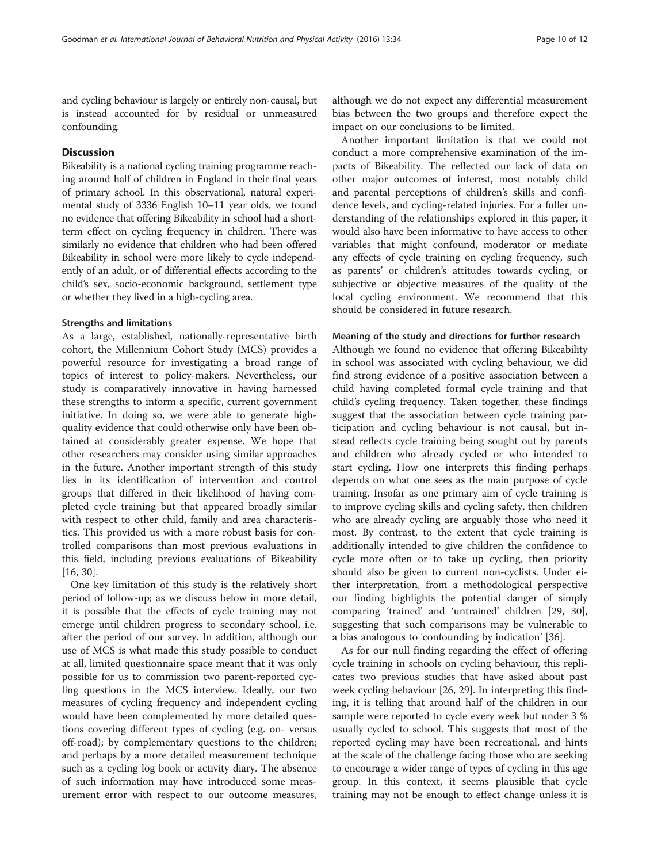and cycling behaviour is largely or entirely non-causal, but is instead accounted for by residual or unmeasured confounding.

### **Discussion**

Bikeability is a national cycling training programme reaching around half of children in England in their final years of primary school. In this observational, natural experimental study of 3336 English 10–11 year olds, we found no evidence that offering Bikeability in school had a shortterm effect on cycling frequency in children. There was similarly no evidence that children who had been offered Bikeability in school were more likely to cycle independently of an adult, or of differential effects according to the child's sex, socio-economic background, settlement type or whether they lived in a high-cycling area.

#### Strengths and limitations

As a large, established, nationally-representative birth cohort, the Millennium Cohort Study (MCS) provides a powerful resource for investigating a broad range of topics of interest to policy-makers. Nevertheless, our study is comparatively innovative in having harnessed these strengths to inform a specific, current government initiative. In doing so, we were able to generate highquality evidence that could otherwise only have been obtained at considerably greater expense. We hope that other researchers may consider using similar approaches in the future. Another important strength of this study lies in its identification of intervention and control groups that differed in their likelihood of having completed cycle training but that appeared broadly similar with respect to other child, family and area characteristics. This provided us with a more robust basis for controlled comparisons than most previous evaluations in this field, including previous evaluations of Bikeability [[16, 30\]](#page-11-0).

One key limitation of this study is the relatively short period of follow-up; as we discuss below in more detail, it is possible that the effects of cycle training may not emerge until children progress to secondary school, i.e. after the period of our survey. In addition, although our use of MCS is what made this study possible to conduct at all, limited questionnaire space meant that it was only possible for us to commission two parent-reported cycling questions in the MCS interview. Ideally, our two measures of cycling frequency and independent cycling would have been complemented by more detailed questions covering different types of cycling (e.g. on- versus off-road); by complementary questions to the children; and perhaps by a more detailed measurement technique such as a cycling log book or activity diary. The absence of such information may have introduced some measurement error with respect to our outcome measures, although we do not expect any differential measurement bias between the two groups and therefore expect the impact on our conclusions to be limited.

Another important limitation is that we could not conduct a more comprehensive examination of the impacts of Bikeability. The reflected our lack of data on other major outcomes of interest, most notably child and parental perceptions of children's skills and confidence levels, and cycling-related injuries. For a fuller understanding of the relationships explored in this paper, it would also have been informative to have access to other variables that might confound, moderator or mediate any effects of cycle training on cycling frequency, such as parents' or children's attitudes towards cycling, or subjective or objective measures of the quality of the local cycling environment. We recommend that this should be considered in future research.

#### Meaning of the study and directions for further research

Although we found no evidence that offering Bikeability in school was associated with cycling behaviour, we did find strong evidence of a positive association between a child having completed formal cycle training and that child's cycling frequency. Taken together, these findings suggest that the association between cycle training participation and cycling behaviour is not causal, but instead reflects cycle training being sought out by parents and children who already cycled or who intended to start cycling. How one interprets this finding perhaps depends on what one sees as the main purpose of cycle training. Insofar as one primary aim of cycle training is to improve cycling skills and cycling safety, then children who are already cycling are arguably those who need it most. By contrast, to the extent that cycle training is additionally intended to give children the confidence to cycle more often or to take up cycling, then priority should also be given to current non-cyclists. Under either interpretation, from a methodological perspective our finding highlights the potential danger of simply comparing 'trained' and 'untrained' children [\[29](#page-11-0), [30](#page-11-0)], suggesting that such comparisons may be vulnerable to a bias analogous to 'confounding by indication' [\[36\]](#page-11-0).

As for our null finding regarding the effect of offering cycle training in schools on cycling behaviour, this replicates two previous studies that have asked about past week cycling behaviour [[26, 29](#page-11-0)]. In interpreting this finding, it is telling that around half of the children in our sample were reported to cycle every week but under 3 % usually cycled to school. This suggests that most of the reported cycling may have been recreational, and hints at the scale of the challenge facing those who are seeking to encourage a wider range of types of cycling in this age group. In this context, it seems plausible that cycle training may not be enough to effect change unless it is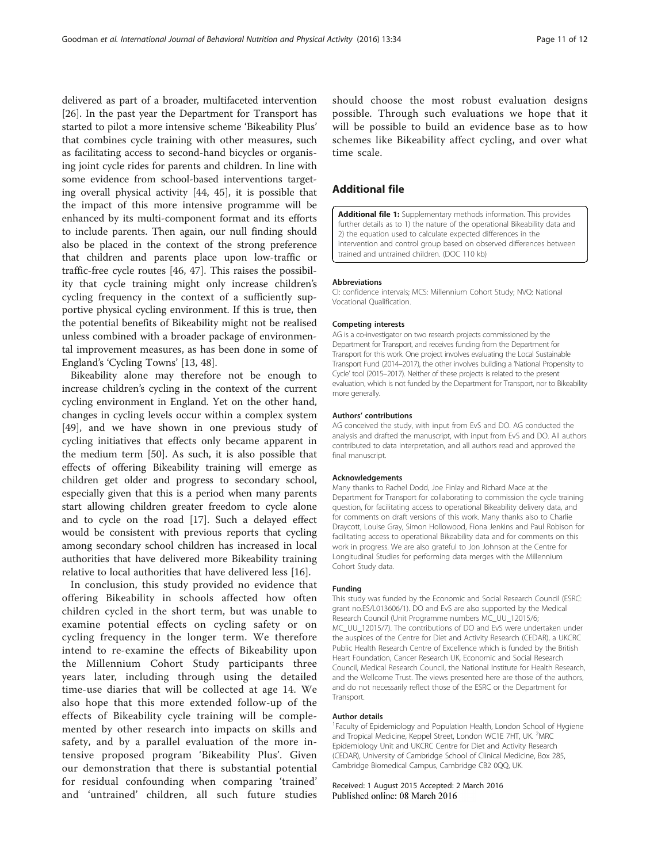<span id="page-10-0"></span>delivered as part of a broader, multifaceted intervention [[26\]](#page-11-0). In the past year the Department for Transport has started to pilot a more intensive scheme 'Bikeability Plus' that combines cycle training with other measures, such as facilitating access to second-hand bicycles or organising joint cycle rides for parents and children. In line with some evidence from school-based interventions targeting overall physical activity [[44, 45](#page-11-0)], it is possible that the impact of this more intensive programme will be enhanced by its multi-component format and its efforts to include parents. Then again, our null finding should also be placed in the context of the strong preference that children and parents place upon low-traffic or traffic-free cycle routes [[46](#page-11-0), [47\]](#page-11-0). This raises the possibility that cycle training might only increase children's cycling frequency in the context of a sufficiently supportive physical cycling environment. If this is true, then the potential benefits of Bikeability might not be realised unless combined with a broader package of environmental improvement measures, as has been done in some of England's 'Cycling Towns' [\[13, 48\]](#page-11-0).

Bikeability alone may therefore not be enough to increase children's cycling in the context of the current cycling environment in England. Yet on the other hand, changes in cycling levels occur within a complex system [[49\]](#page-11-0), and we have shown in one previous study of cycling initiatives that effects only became apparent in the medium term [\[50](#page-11-0)]. As such, it is also possible that effects of offering Bikeability training will emerge as children get older and progress to secondary school, especially given that this is a period when many parents start allowing children greater freedom to cycle alone and to cycle on the road [[17\]](#page-11-0). Such a delayed effect would be consistent with previous reports that cycling among secondary school children has increased in local authorities that have delivered more Bikeability training relative to local authorities that have delivered less [[16\]](#page-11-0).

In conclusion, this study provided no evidence that offering Bikeability in schools affected how often children cycled in the short term, but was unable to examine potential effects on cycling safety or on cycling frequency in the longer term. We therefore intend to re-examine the effects of Bikeability upon the Millennium Cohort Study participants three years later, including through using the detailed time-use diaries that will be collected at age 14. We also hope that this more extended follow-up of the effects of Bikeability cycle training will be complemented by other research into impacts on skills and safety, and by a parallel evaluation of the more intensive proposed program 'Bikeability Plus'. Given our demonstration that there is substantial potential for residual confounding when comparing 'trained' and 'untrained' children, all such future studies

should choose the most robust evaluation designs possible. Through such evaluations we hope that it will be possible to build an evidence base as to how schemes like Bikeability affect cycling, and over what time scale.

## Additional file

[Additional file 1:](dx.doi.org/10.1186/s12966-016-0356-z) Supplementary methods information. This provides further details as to 1) the nature of the operational Bikeability data and 2) the equation used to calculate expected differences in the intervention and control group based on observed differences between trained and untrained children. (DOC 110 kb)

#### Abbreviations

CI: confidence intervals; MCS: Millennium Cohort Study; NVQ: National Vocational Qualification.

#### Competing interests

AG is a co-investigator on two research projects commissioned by the Department for Transport, and receives funding from the Department for Transport for this work. One project involves evaluating the Local Sustainable Transport Fund (2014–2017), the other involves building a 'National Propensity to Cycle' tool (2015–2017). Neither of these projects is related to the present evaluation, which is not funded by the Department for Transport, nor to Bikeability more generally.

#### Authors' contributions

AG conceived the study, with input from EvS and DO. AG conducted the analysis and drafted the manuscript, with input from EvS and DO. All authors contributed to data interpretation, and all authors read and approved the final manuscript.

#### Acknowledgements

Many thanks to Rachel Dodd, Joe Finlay and Richard Mace at the Department for Transport for collaborating to commission the cycle training question, for facilitating access to operational Bikeability delivery data, and for comments on draft versions of this work. Many thanks also to Charlie Draycott, Louise Gray, Simon Hollowood, Fiona Jenkins and Paul Robison for facilitating access to operational Bikeability data and for comments on this work in progress. We are also grateful to Jon Johnson at the Centre for Longitudinal Studies for performing data merges with the Millennium Cohort Study data.

#### Funding

This study was funded by the Economic and Social Research Council (ESRC: grant no.ES/L013606/1). DO and EvS are also supported by the Medical Research Council (Unit Programme numbers MC\_UU\_12015/6; MC\_UU\_12015/7). The contributions of DO and EvS were undertaken under the auspices of the Centre for Diet and Activity Research (CEDAR), a UKCRC Public Health Research Centre of Excellence which is funded by the British Heart Foundation, Cancer Research UK, Economic and Social Research Council, Medical Research Council, the National Institute for Health Research, and the Wellcome Trust. The views presented here are those of the authors, and do not necessarily reflect those of the ESRC or the Department for Transport.

#### Author details

<sup>1</sup> Faculty of Epidemiology and Population Health, London School of Hygiene and Tropical Medicine, Keppel Street, London WC1E 7HT, UK. <sup>2</sup>MRC Epidemiology Unit and UKCRC Centre for Diet and Activity Research (CEDAR), University of Cambridge School of Clinical Medicine, Box 285, Cambridge Biomedical Campus, Cambridge CB2 0QQ, UK.

Received: 1 August 2015 Accepted: 2 March 2016 Published online: 08 March 2016